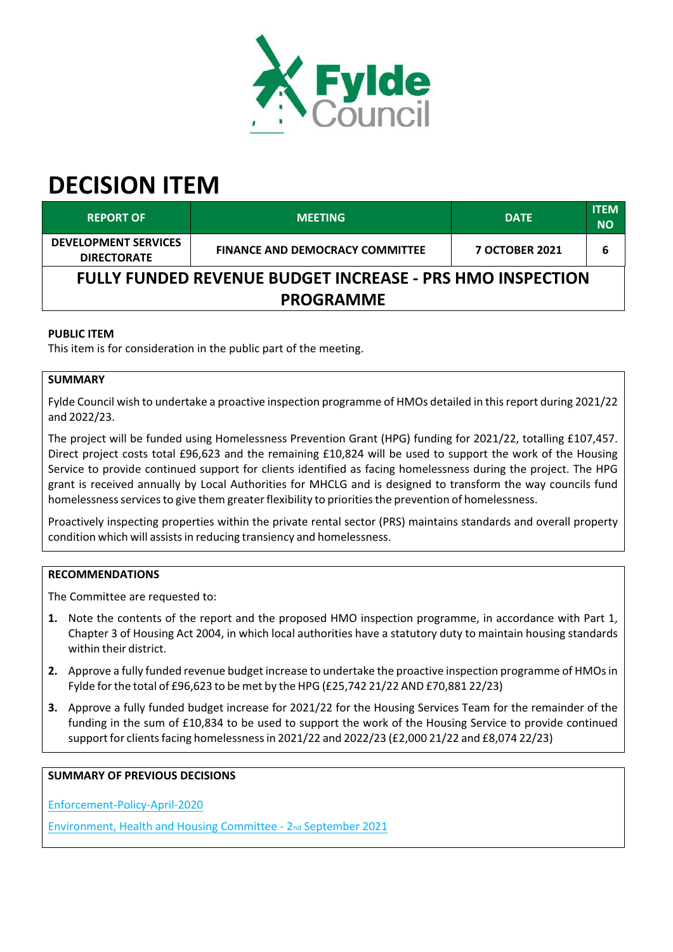

# **DECISION ITEM**

| <b>REPORT OF</b>                                                 | <b>MEETING</b>                         | <b>DATE</b>           | <b>ITEM</b><br><b>NO</b> |  |
|------------------------------------------------------------------|----------------------------------------|-----------------------|--------------------------|--|
| <b>DEVELOPMENT SERVICES</b><br><b>DIRECTORATE</b>                | <b>FINANCE AND DEMOCRACY COMMITTEE</b> | <b>7 OCTOBER 2021</b> | 6                        |  |
| <b>FULLY FUNDED REVENUE BUDGET INCREASE - PRS HMO INSPECTION</b> |                                        |                       |                          |  |
| <b>PROGRAMME</b>                                                 |                                        |                       |                          |  |

# **PUBLIC ITEM**

This item is for consideration in the public part of the meeting.

# **SUMMARY**

Fylde Council wish to undertake a proactive inspection programme of HMOs detailed in thisreport during 2021/22 and 2022/23.

The project will be funded using Homelessness Prevention Grant (HPG) funding for 2021/22, totalling £107,457. Direct project costs total £96,623 and the remaining £10,824 will be used to support the work of the Housing Service to provide continued support for clients identified as facing homelessness during the project. The HPG grant is received annually by Local Authorities for MHCLG and is designed to transform the way councils fund homelessness services to give them greater flexibility to priorities the prevention of homelessness.

Proactively inspecting properties within the private rental sector (PRS) maintains standards and overall property condition which will assistsin reducing transiency and homelessness.

# **RECOMMENDATIONS**

The Committee are requested to:

- **1.** Note the contents of the report and the proposed HMO inspection programme, in accordance with Part 1, Chapter 3 of Housing Act 2004, in which local authorities have a statutory duty to maintain housing standards within their district.
- **2.** Approve a fully funded revenue budget increase to undertake the proactive inspection programme of HMOsin Fylde forthe total of £96,623 to be met by the HPG (£25,742 21/22 AND £70,881 22/23)
- **3.** Approve a fully funded budget increase for 2021/22 for the Housing Services Team for the remainder of the funding in the sum of £10,834 to be used to support the work of the Housing Service to provide continued support for clientsfacing homelessnessin 2021/22 and 2022/23 (£2,000 21/22 and £8,074 22/23)

#### **SUMMARY OF PREVIOUS DECISIONS**

[Enforcement‐Policy‐April‐2020](https://new.fylde.gov.uk/wp-content/uploads/2020/05/Enforcement-Policy-April-2020.doc?web=1)

[Environment,](https://fylde.cmis.uk.com/fylde/MeetingsCalendar/tabid/70/ctl/ViewMeetingPublic/mid/397/Meeting/1242/Committee/19/SelectedTab/Documents/Default.aspx) [Health](https://fylde.cmis.uk.com/fylde/MeetingsCalendar/tabid/70/ctl/ViewMeetingPublic/mid/397/Meeting/1242/Committee/19/SelectedTab/Documents/Default.aspx) [and](https://fylde.cmis.uk.com/fylde/MeetingsCalendar/tabid/70/ctl/ViewMeetingPublic/mid/397/Meeting/1242/Committee/19/SelectedTab/Documents/Default.aspx) [Housing](https://fylde.cmis.uk.com/fylde/MeetingsCalendar/tabid/70/ctl/ViewMeetingPublic/mid/397/Meeting/1242/Committee/19/SelectedTab/Documents/Default.aspx) [Committee](https://fylde.cmis.uk.com/fylde/MeetingsCalendar/tabid/70/ctl/ViewMeetingPublic/mid/397/Meeting/1242/Committee/19/SelectedTab/Documents/Default.aspx) [‐](https://fylde.cmis.uk.com/fylde/MeetingsCalendar/tabid/70/ctl/ViewMeetingPublic/mid/397/Meeting/1242/Committee/19/SelectedTab/Documents/Default.aspx) [2](https://fylde.cmis.uk.com/fylde/MeetingsCalendar/tabid/70/ctl/ViewMeetingPublic/mid/397/Meeting/1242/Committee/19/SelectedTab/Documents/Default.aspx)[nd](https://fylde.cmis.uk.com/fylde/MeetingsCalendar/tabid/70/ctl/ViewMeetingPublic/mid/397/Meeting/1242/Committee/19/SelectedTab/Documents/Default.aspx) [September](https://fylde.cmis.uk.com/fylde/MeetingsCalendar/tabid/70/ctl/ViewMeetingPublic/mid/397/Meeting/1242/Committee/19/SelectedTab/Documents/Default.aspx) [2021](https://fylde.cmis.uk.com/fylde/MeetingsCalendar/tabid/70/ctl/ViewMeetingPublic/mid/397/Meeting/1242/Committee/19/SelectedTab/Documents/Default.aspx)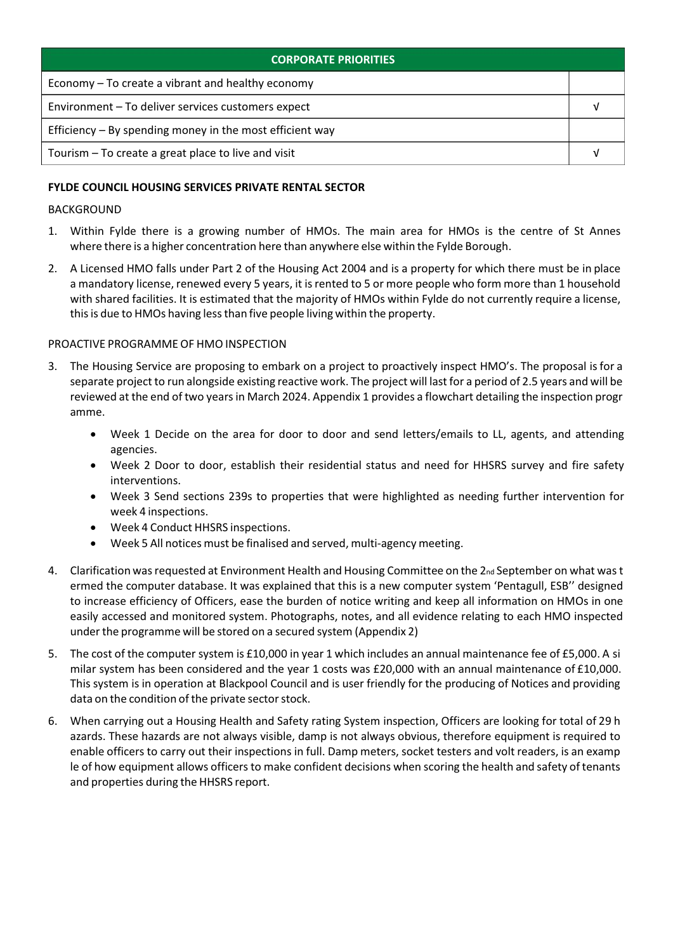| <b>CORPORATE PRIORITIES</b>                                |  |  |
|------------------------------------------------------------|--|--|
| Economy – To create a vibrant and healthy economy          |  |  |
| Environment - To deliver services customers expect         |  |  |
| Efficiency $-$ By spending money in the most efficient way |  |  |
| Tourism – To create a great place to live and visit        |  |  |

# **FYLDE COUNCIL HOUSING SERVICES PRIVATE RENTAL SECTOR**

## BACKGROUND

- 1. Within Fylde there is a growing number of HMOs. The main area for HMOs is the centre of St Annes where there is a higher concentration here than anywhere else within the Fylde Borough.
- 2. A Licensed HMO falls under Part 2 of the Housing Act 2004 and is a property for which there must be in place a mandatory license, renewed every 5 years, it isrented to 5 or more people who form more than 1 household with shared facilities. It is estimated that the majority of HMOs within Fylde do not currently require a license, this is due to HMOs having less than five people living within the property.

## PROACTIVE PROGRAMME OF HMO INSPECTION

- 3. The Housing Service are proposing to embark on a project to proactively inspect HMO's. The proposal isfor a separate project to run alongside existing reactive work. The project will last for a period of 2.5 years and will be reviewed at the end of two yearsin March 2024. Appendix 1 provides a flowchart detailing the inspection progr amme.
	- Week 1 Decide on the area for door to door and send letters/emails to LL, agents, and attending agencies.
	- Week 2 Door to door, establish their residential status and need for HHSRS survey and fire safety interventions.
	- Week 3 Send sections 239s to properties that were highlighted as needing further intervention for week 4 inspections.
	- Week 4 Conduct HHSRS inspections.
	- Week 5 All notices must be finalised and served, multi-agency meeting.
- 4. Clarification was requested at Environment Health and Housing Committee on the 2<sub>nd</sub> September on what was t ermed the computer database. It was explained that this is a new computer system 'Pentagull, ESB'' designed to increase efficiency of Officers, ease the burden of notice writing and keep all information on HMOs in one easily accessed and monitored system. Photographs, notes, and all evidence relating to each HMO inspected under the programme will be stored on a secured system (Appendix 2)
- 5. The cost of the computer system is £10,000 in year 1 which includes an annual maintenance fee of £5,000. A si milar system has been considered and the year 1 costs was £20,000 with an annual maintenance of £10,000. This system is in operation at Blackpool Council and is user friendly for the producing of Notices and providing data on the condition of the private sector stock.
- 6. When carrying out a Housing Health and Safety rating System inspection, Officers are looking for total of 29 h azards. These hazards are not always visible, damp is not always obvious, therefore equipment is required to enable officers to carry out their inspections in full. Damp meters, socket testers and volt readers, is an examp le of how equipment allows officers to make confident decisions when scoring the health and safety of tenants and properties during the HHSRS report.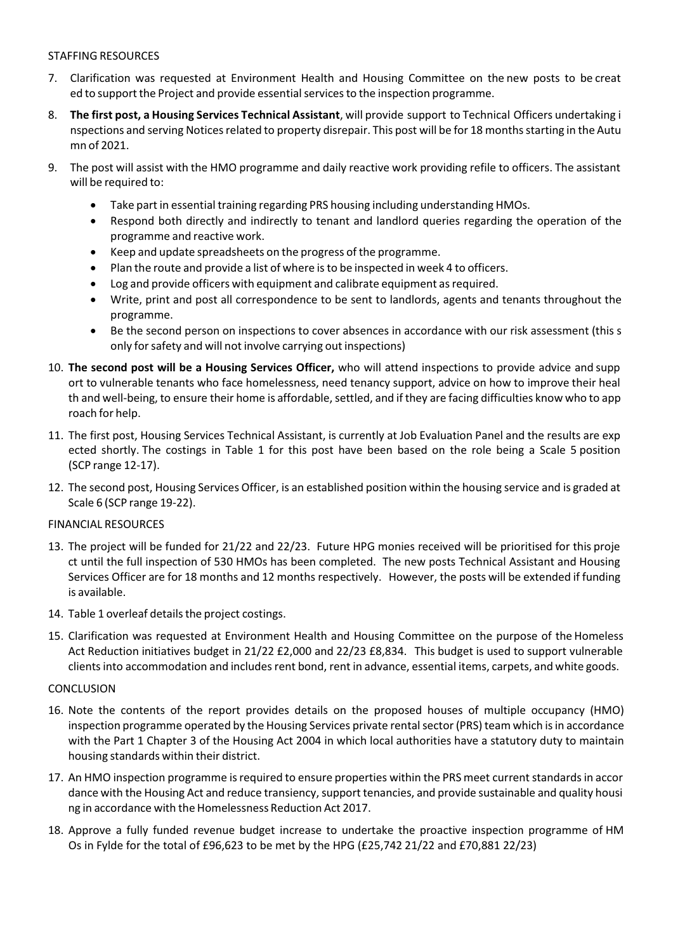# STAFFING RESOURCES

- 7. Clarification was requested at Environment Health and Housing Committee on the new posts to be creat ed to support the Project and provide essential services to the inspection programme.
- 8. **The first post, a Housing Services Technical Assistant**, will provide support to Technical Officers undertaking i nspections and serving Notices related to property disrepair. This post will be for 18 months starting in the Autu mn of 2021.
- 9. The post will assist with the HMO programme and daily reactive work providing refile to officers. The assistant will be required to:
	- Take part in essential training regarding PRS housing including understanding HMOs.
	- Respond both directly and indirectly to tenant and landlord queries regarding the operation of the programme and reactive work.
	- Keep and update spreadsheets on the progress of the programme.
	- Plan the route and provide a list of where isto be inspected in week 4 to officers.
	- Log and provide officers with equipment and calibrate equipment as required.
	- Write, print and post all correspondence to be sent to landlords, agents and tenants throughout the programme.
	- Be the second person on inspections to cover absences in accordance with our risk assessment (this s only forsafety and will not involve carrying out inspections)
- 10. **The second post will be a Housing Services Officer,** who will attend inspections to provide advice and supp ort to vulnerable tenants who face homelessness, need tenancy support, advice on how to improve their heal th and well-being, to ensure their home is affordable, settled, and if they are facing difficulties know who to app roach for help.
- 11. The first post, Housing Services Technical Assistant, is currently at Job Evaluation Panel and the results are exp ected shortly. The costings in Table 1 for this post have been based on the role being a Scale 5 position (SCP range 12‐17).
- 12. The second post, Housing Services Officer, is an established position within the housing service and is graded at Scale 6 (SCP range 19‐22).

#### FINANCIAL RESOURCES

- 13. The project will be funded for 21/22 and 22/23. Future HPG monies received will be prioritised for this proje ct until the full inspection of 530 HMOs has been completed. The new posts Technical Assistant and Housing Services Officer are for 18 months and 12 months respectively. However, the posts will be extended if funding is available.
- 14. Table 1 overleaf details the project costings.
- 15. Clarification was requested at Environment Health and Housing Committee on the purpose of the Homeless Act Reduction initiatives budget in 21/22 £2,000 and 22/23 £8,834. This budget is used to support vulnerable clients into accommodation and includes rent bond, rent in advance, essential items, carpets, and white goods.

#### **CONCLUSION**

- 16. Note the contents of the report provides details on the proposed houses of multiple occupancy (HMO) inspection programme operated by the Housing Services private rentalsector(PRS) team which isin accordance with the Part 1 Chapter 3 of the Housing Act 2004 in which local authorities have a statutory duty to maintain housing standards within their district.
- 17. An HMO inspection programme is required to ensure properties within the PRS meet current standards in accor dance with the Housing Act and reduce transiency, support tenancies, and provide sustainable and quality housi ng in accordance with the Homelessness Reduction Act 2017.
- 18. Approve a fully funded revenue budget increase to undertake the proactive inspection programme of HM Os in Fylde for the total of £96,623 to be met by the HPG (£25,742 21/22 and £70,881 22/23)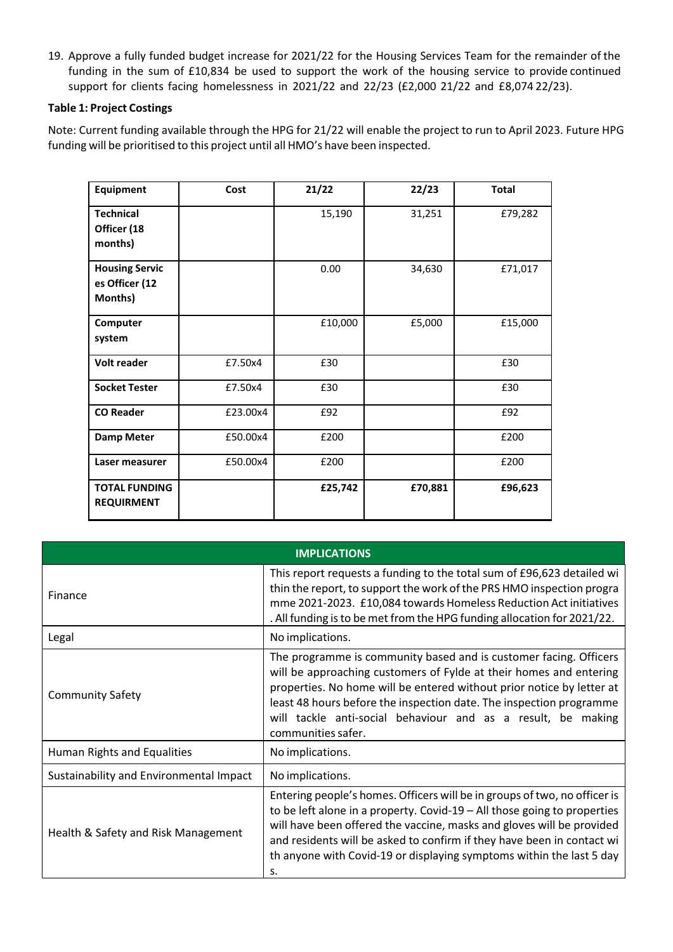19. Approve a fully funded budget increase for 2021/22 for the Housing Services Team for the remainder of the funding in the sum of £10,834 be used to support the work of the housing service to provide continued support for clients facing homelessness in 2021/22 and 22/23 (£2,000 21/22 and £8,074 22/23).

## **Table 1: Project Costings**

Note: Current funding available through the HPG for 21/22 will enable the project to run to April 2023. Future HPG funding will be prioritised to this project until all HMO's have been inspected.

| Equipment                                          | Cost     | 21/22   | 22/23   | <b>Total</b> |
|----------------------------------------------------|----------|---------|---------|--------------|
| <b>Technical</b><br>Officer (18<br>months)         |          | 15,190  | 31,251  | £79,282      |
| <b>Housing Servic</b><br>es Officer (12<br>Months) |          | 0.00    | 34,630  | £71,017      |
| Computer<br>system                                 |          | £10,000 | £5,000  | £15,000      |
| <b>Volt reader</b>                                 | £7.50x4  | £30     |         | £30          |
| <b>Socket Tester</b>                               | £7.50x4  | £30     |         | £30          |
| <b>CO Reader</b>                                   | £23.00x4 | £92     |         | £92          |
| <b>Damp Meter</b>                                  | £50.00x4 | £200    |         | £200         |
| Laser measurer                                     | £50.00x4 | £200    |         | £200         |
| <b>TOTAL FUNDING</b><br><b>REQUIRMENT</b>          |          | £25,742 | £70,881 | £96,623      |

| <b>IMPLICATIONS</b>                     |                                                                                                                                                                                                                                                                                                                                                                                          |  |
|-----------------------------------------|------------------------------------------------------------------------------------------------------------------------------------------------------------------------------------------------------------------------------------------------------------------------------------------------------------------------------------------------------------------------------------------|--|
| Finance                                 | This report requests a funding to the total sum of £96,623 detailed wi<br>thin the report, to support the work of the PRS HMO inspection progra<br>mme 2021-2023. £10,084 towards Homeless Reduction Act initiatives<br>. All funding is to be met from the HPG funding allocation for 2021/22.                                                                                          |  |
| Legal                                   | No implications.                                                                                                                                                                                                                                                                                                                                                                         |  |
| <b>Community Safety</b>                 | The programme is community based and is customer facing. Officers<br>will be approaching customers of Fylde at their homes and entering<br>properties. No home will be entered without prior notice by letter at<br>least 48 hours before the inspection date. The inspection programme<br>will tackle anti-social behaviour and as a result, be making<br>communities safer.            |  |
| Human Rights and Equalities             | No implications.                                                                                                                                                                                                                                                                                                                                                                         |  |
| Sustainability and Environmental Impact | No implications.                                                                                                                                                                                                                                                                                                                                                                         |  |
| Health & Safety and Risk Management     | Entering people's homes. Officers will be in groups of two, no officer is<br>to be left alone in a property. Covid-19 $-$ All those going to properties<br>will have been offered the vaccine, masks and gloves will be provided<br>and residents will be asked to confirm if they have been in contact wi<br>th anyone with Covid-19 or displaying symptoms within the last 5 day<br>s. |  |